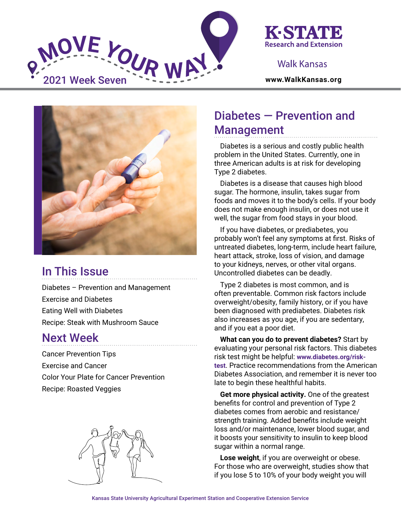



## Walk Kansas



# In This Issue

Diabetes – Prevention and Management Exercise and Diabetes Eating Well with Diabetes Recipe: Steak with Mushroom Sauce

## Next Week

Cancer Prevention Tips Exercise and Cancer Color Your Plate for Cancer Prevention Recipe: Roasted Veggies



# Diabetes — Prevention and Management

Diabetes is a serious and costly public health problem in the United States. Currently, one in three American adults is at risk for developing Type 2 diabetes.

Diabetes is a disease that causes high blood sugar. The hormone, insulin, takes sugar from foods and moves it to the body's cells. If your body does not make enough insulin, or does not use it well, the sugar from food stays in your blood.

If you have diabetes, or prediabetes, you probably won't feel any symptoms at first. Risks of untreated diabetes, long-term, include heart failure, heart attack, stroke, loss of vision, and damage to your kidneys, nerves, or other vital organs. Uncontrolled diabetes can be deadly.

Type 2 diabetes is most common, and is often preventable. Common risk factors include overweight/obesity, family history, or if you have been diagnosed with prediabetes. Diabetes risk also increases as you age, if you are sedentary, and if you eat a poor diet.

**What can you do to prevent diabetes?** Start by evaluating your personal risk factors. This diabetes risk test might be helpful: **[www.diabetes.org/risk](https://www.diabetes.org/risk-test)[test](https://www.diabetes.org/risk-test)**. Practice recommendations from the American Diabetes Association, and remember it is never too late to begin these healthful habits.

**Get more physical activity.** One of the greatest benefits for control and prevention of Type 2 diabetes comes from aerobic and resistance/ strength training. Added benefits include weight loss and/or maintenance, lower blood sugar, and it boosts your sensitivity to insulin to keep blood sugar within a normal range.

**Lose weight**, if you are overweight or obese. For those who are overweight, studies show that if you lose 5 to 10% of your body weight you will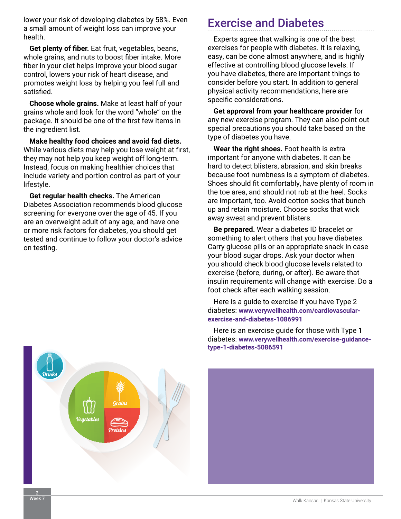lower your risk of developing diabetes by 58%. Even a small amount of weight loss can improve your health.

**Get plenty of fiber.** Eat fruit, vegetables, beans, whole grains, and nuts to boost fiber intake. More fiber in your diet helps improve your blood sugar control, lowers your risk of heart disease, and promotes weight loss by helping you feel full and satisfied.

**Choose whole grains.** Make at least half of your grains whole and look for the word "whole" on the package. It should be one of the first few items in the ingredient list.

**Make healthy food choices and avoid fad diets.** While various diets may help you lose weight at first, they may not help you keep weight off long-term. Instead, focus on making healthier choices that include variety and portion control as part of your lifestyle.

**Get regular health checks.** The American Diabetes Association recommends blood glucose screening for everyone over the age of 45. If you are an overweight adult of any age, and have one or more risk factors for diabetes, you should get tested and continue to follow your doctor's advice on testing.

## Exercise and Diabetes

Experts agree that walking is one of the best exercises for people with diabetes. It is relaxing, easy, can be done almost anywhere, and is highly effective at controlling blood glucose levels. If you have diabetes, there are important things to consider before you start. In addition to general physical activity recommendations, here are specific considerations.

**Get approval from your healthcare provider** for any new exercise program. They can also point out special precautions you should take based on the type of diabetes you have.

**Wear the right shoes.** Foot health is extra important for anyone with diabetes. It can be hard to detect blisters, abrasion, and skin breaks because foot numbness is a symptom of diabetes. Shoes should fit comfortably, have plenty of room in the toe area, and should not rub at the heel. Socks are important, too. Avoid cotton socks that bunch up and retain moisture. Choose socks that wick away sweat and prevent blisters.

**Be prepared.** Wear a diabetes ID bracelet or something to alert others that you have diabetes. Carry glucose pills or an appropriate snack in case your blood sugar drops. Ask your doctor when you should check blood glucose levels related to exercise (before, during, or after). Be aware that insulin requirements will change with exercise. Do a foot check after each walking session.

Here is a guide to exercise if you have Type 2 diabetes: **[www.verywellhealth.com/cardiovascular](https://www.verywellhealth.com/cardiovascular-exercise-and-diabetes-1086991)[exercise-and-diabetes-1086991](https://www.verywellhealth.com/cardiovascular-exercise-and-diabetes-1086991)**

Here is an exercise guide for those with Type 1 diabetes: **[www.verywellhealth.com/exercise-guidance](https://www.verywellhealth.com/exercise-guidance-type-1-diabetes-5086591)[type-1-diabetes-5086591](https://www.verywellhealth.com/exercise-guidance-type-1-diabetes-5086591)**